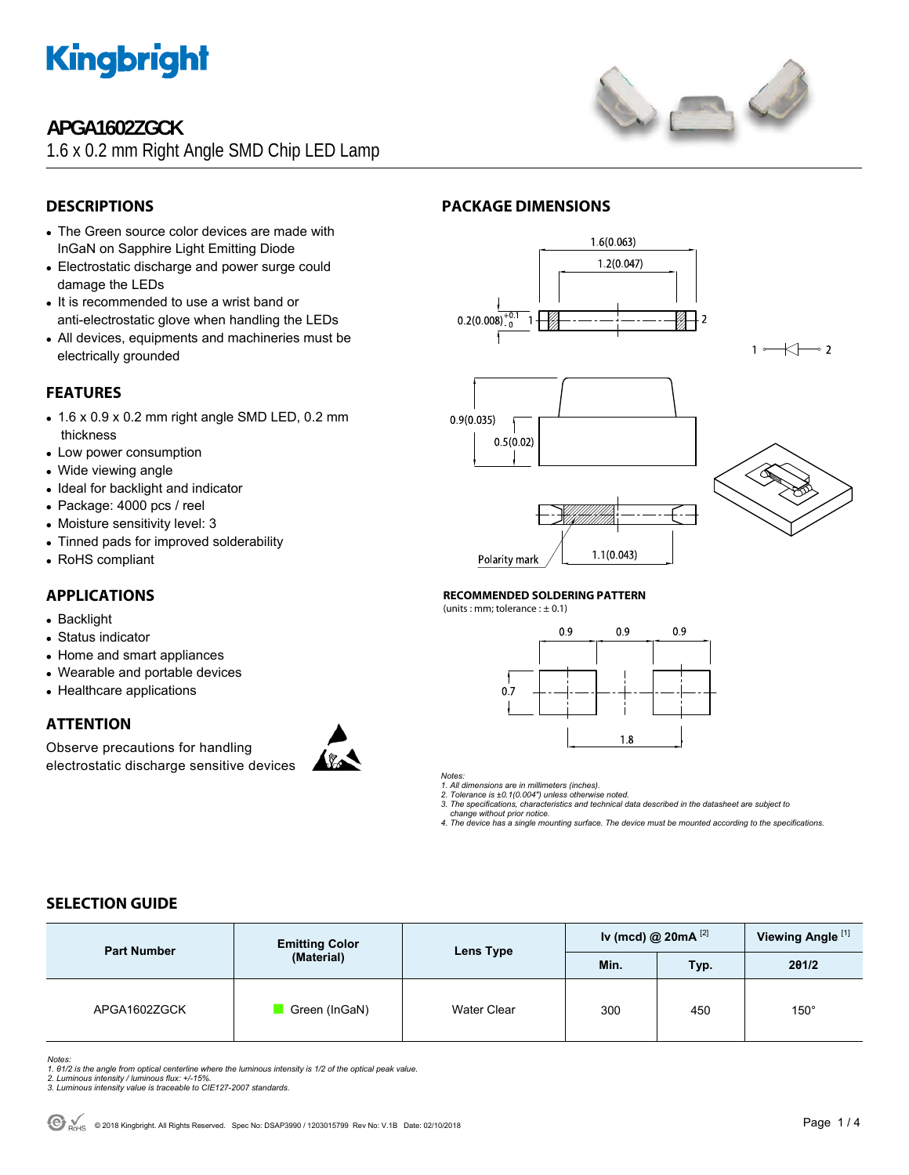

## **APGA1602ZGCK**

1.6 x 0.2 mm Right Angle SMD Chip LED Lamp



## **DESCRIPTIONS**

- The Green source color devices are made with InGaN on Sapphire Light Emitting Diode
- Electrostatic discharge and power surge could damage the LEDs
- It is recommended to use a wrist band or anti-electrostatic glove when handling the LEDs
- All devices, equipments and machineries must be electrically grounded

## **FEATURES**

- $\bullet$  1.6 x 0.9 x 0.2 mm right angle SMD LED, 0.2 mm thickness
- Low power consumption
- Wide viewing angle
- Ideal for backlight and indicator
- Package: 4000 pcs / reel
- Moisture sensitivity level: 3
- Tinned pads for improved solderability
- RoHS compliant

## **APPLICATIONS**

- Backlight
- Status indicator
- Home and smart appliances
- Wearable and portable devices
- Healthcare applications

### **ATTENTION**

Observe precautions for handling electrostatic discharge sensitive devices



## **PACKAGE DIMENSIONS**







Kŀ

 $\sim$  2

## **RECOMMENDED SOLDERING PATTERN**

(units : mm; tolerance :  $\pm$  0.1)





*Notes: 1. All dimensions are in millimeters (inches).* 

*2. Tolerance is ±0.1(0.004") unless otherwise noted.* 

*3. The specifications, characteristics and technical data described in the datasheet are subject to change without prior notice.* 

*4. The device has a single mounting surface. The device must be mounted according to the specifications.* 

## **SELECTION GUIDE**

| <b>Part Number</b> | <b>Emitting Color</b><br>(Material) | Lens Type   | Iv (mcd) @ $20mA$ <sup>[2]</sup> |      | Viewing Angle <sup>[1]</sup> |
|--------------------|-------------------------------------|-------------|----------------------------------|------|------------------------------|
|                    |                                     |             | Min.                             | Typ. | 201/2                        |
| APGA1602ZGCK       | Green (InGaN)                       | Water Clear | 300                              | 450  | $150^\circ$                  |

*Notes:* 

- *1. θ1/2 is the angle from optical centerline where the luminous intensity is 1/2 of the optical peak value. 2. Luminous intensity / luminous flux: +/-15%.*
- *3. Luminous intensity value is traceable to CIE127-2007 standards.*
-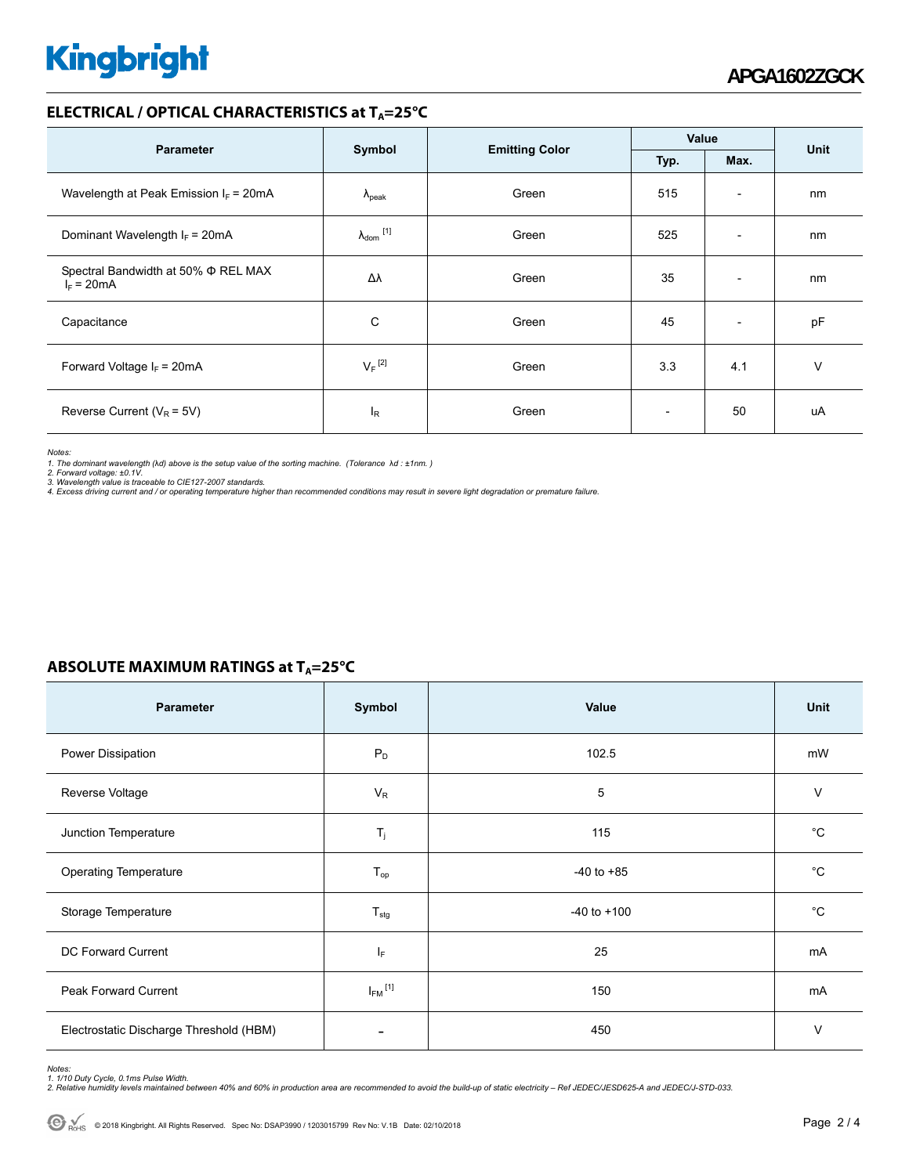# **Kingbright**

### **ELECTRICAL / OPTICAL CHARACTERISTICS at T<sub>A</sub>=25°C**

|                                                          |                                |                       | Value                    |                          | <b>Unit</b> |
|----------------------------------------------------------|--------------------------------|-----------------------|--------------------------|--------------------------|-------------|
| <b>Parameter</b>                                         | Symbol                         | <b>Emitting Color</b> | Max.<br>Typ.             |                          |             |
| Wavelength at Peak Emission $I_F$ = 20mA                 | $\Lambda_{\rm peak}$           | Green                 | 515                      | $\overline{\phantom{a}}$ | nm          |
| Dominant Wavelength $I_F = 20 \text{mA}$                 | $\lambda_{dom}$ <sup>[1]</sup> | Green                 | 525                      | $\overline{\phantom{a}}$ | nm          |
| Spectral Bandwidth at 50% $\Phi$ REL MAX<br>$I_F = 20mA$ | Δλ                             | Green                 | 35                       | $\overline{\phantom{a}}$ | nm          |
| Capacitance                                              | C                              | Green                 | 45                       | $\overline{\phantom{a}}$ | pF          |
| Forward Voltage $I_F$ = 20mA                             | $V_F$ <sup>[2]</sup>           | Green                 | 3.3                      | 4.1                      | v           |
| Reverse Current ( $V_R$ = 5V)                            | l <sub>R</sub>                 | Green                 | $\overline{\phantom{0}}$ | 50                       | uA          |

*Notes:* 

1. The dominant wavelength (λd) above is the setup value of the sorting machine. (Tolerance λd : ±1nm. )<br>2. Forward voltage: ±0.1V.<br>3. Wavelength value is traceable to CIE127-2007 standards.

*4. Excess driving current and / or operating temperature higher than recommended conditions may result in severe light degradation or premature failure.* 

## **ABSOLUTE MAXIMUM RATINGS at T<sub>A</sub>=25°C**

| Parameter                               | Symbol                  | Value           | Unit        |
|-----------------------------------------|-------------------------|-----------------|-------------|
| Power Dissipation                       | $P_D$                   | 102.5           | mW          |
| Reverse Voltage                         | $V_R$                   | 5               | $\vee$      |
| Junction Temperature                    | $T_j$                   | 115             | $^{\circ}C$ |
| <b>Operating Temperature</b>            | $T_{op}$                | $-40$ to $+85$  | $^{\circ}C$ |
| Storage Temperature                     | $T_{\text{stg}}$        | $-40$ to $+100$ | $^{\circ}C$ |
| DC Forward Current                      | ΙF                      | 25              | mA          |
| <b>Peak Forward Current</b>             | $I_{FM}$ <sup>[1]</sup> | 150             | mA          |
| Electrostatic Discharge Threshold (HBM) |                         | 450             | $\vee$      |

Notes:<br>1. 1/10 Duty Cycle, 0.1ms Pulse Width.<br>2. Relative humidity levels maintained between 40% and 60% in production area are recommended to avoid the build-up of static electricity – Ref JEDEC/JESD625-A and JEDEC/J-STD-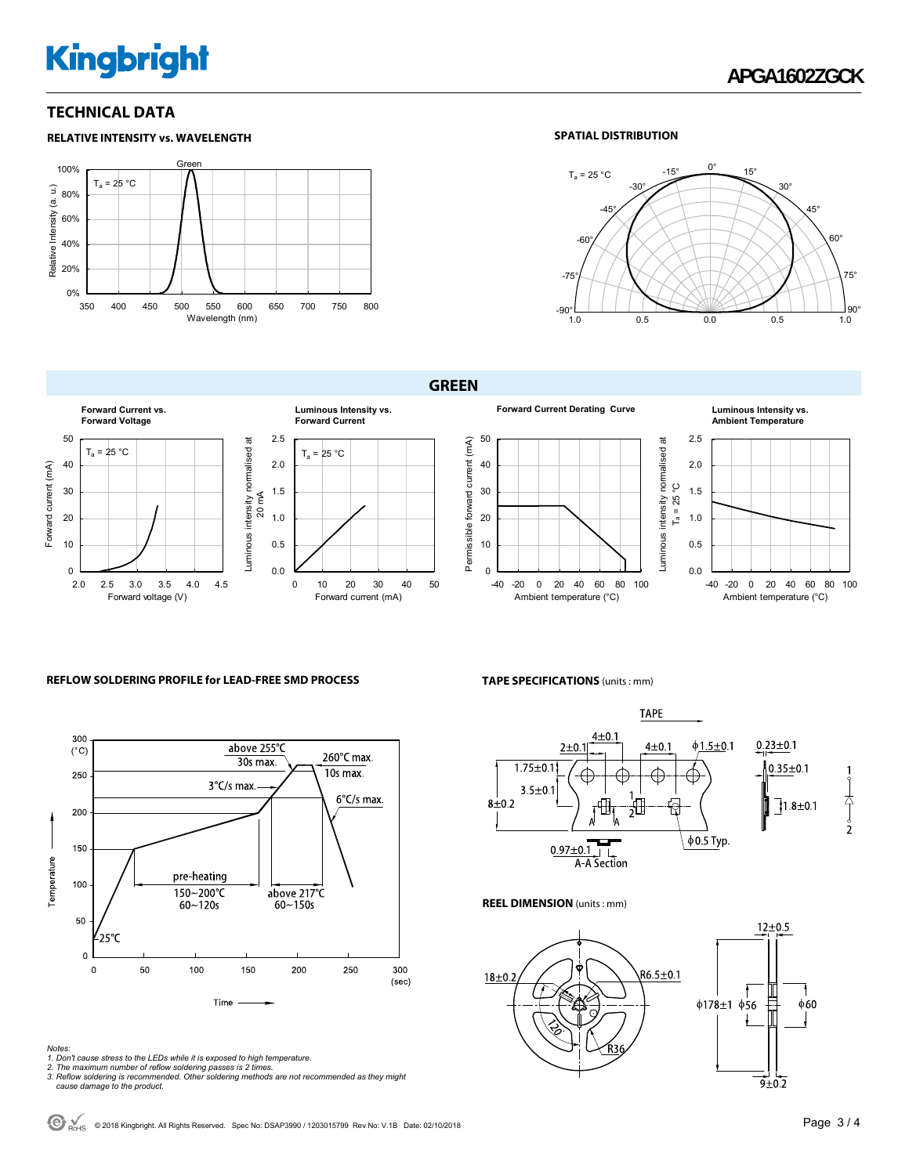# **Kingbright**

### **TECHNICAL DATA**

#### **RELATIVE INTENSITY vs. WAVELENGTH** Gre 100%  $T_a = 25 °C$ Relative Intensity (a. u.) Relative Intensity (a. u.) 80% 60% 40% 20% 0% 350 400 450 500 550 600 650 700 750 800 Wavelength (nm)

#### **SPATIAL DISTRIBUTION**



#### **GREEN**



#### **REFLOW SOLDERING PROFILE for LEAD-FREE SMD PROCESS**



#### *Notes:*

- *1. Don't cause stress to the LEDs while it is exposed to high temperature.*
- 
- *2. The maximum number of reflow soldering passes is 2 times. 3. Reflow soldering is recommended. Other soldering methods are not recommended as they might cause damage to the product.*

#### **TAPE SPECIFICATIONS** (units : mm)



#### **REEL DIMENSION** (units : mm)



© 2018 Kingbright. All Rights Reserved. Spec No: DSAP3990 / 1203015799 Rev No: V.1B Date: 02/10/2018Page 3 / 4